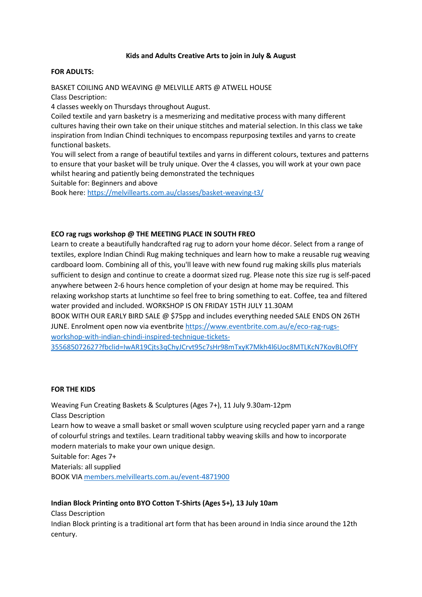## **Kids and Adults Creative Arts to join in July & August**

### **FOR ADULTS:**

BASKET COILING AND WEAVING @ MELVILLE ARTS @ ATWELL HOUSE Class Description: 4 classes weekly on Thursdays throughout August. Coiled textile and yarn basketry is a mesmerizing and meditative process with many different cultures having their own take on their unique stitches and material selection. In this class we take inspiration from Indian Chindi techniques to encompass repurposing textiles and yarns to create functional baskets. You will select from a range of beautiful textiles and yarns in different colours, textures and patterns

to ensure that your basket will be truly unique. Over the 4 classes, you will work at your own pace whilst hearing and patiently being demonstrated the techniques Suitable for: Beginners and above

Book here:<https://melvillearts.com.au/classes/basket-weaving-t3/>

## **ECO rag rugs workshop @ THE MEETING PLACE IN SOUTH FREO**

Learn to create a beautifully handcrafted rag rug to adorn your home décor. Select from a range of textiles, explore Indian Chindi Rug making techniques and learn how to make a reusable rug weaving cardboard loom. Combining all of this, you'll leave with new found rug making skills plus materials sufficient to design and continue to create a doormat sized rug. Please note this size rug is self-paced anywhere between 2-6 hours hence completion of your design at home may be required. This relaxing workshop starts at lunchtime so feel free to bring something to eat. Coffee, tea and filtered water provided and included. WORKSHOP IS ON FRIDAY 15TH JULY 11.30AM BOOK WITH OUR EARLY BIRD SALE @ \$75pp and includes everything needed SALE ENDS ON 26TH

JUNE. Enrolment open now via eventbrit[e https://www.eventbrite.com.au/e/eco-rag-rugs](https://www.eventbrite.com.au/e/eco-rag-rugs-workshop-with-indian-chindi-inspired-technique-tickets-355685072627?fbclid=IwAR19Cjts3qChyJCrvt95c7sHr98mTxyK7Mkh4l6Uoc8MTLKcN7KovBLOfFY)[workshop-with-indian-chindi-inspired-technique-tickets-](https://www.eventbrite.com.au/e/eco-rag-rugs-workshop-with-indian-chindi-inspired-technique-tickets-355685072627?fbclid=IwAR19Cjts3qChyJCrvt95c7sHr98mTxyK7Mkh4l6Uoc8MTLKcN7KovBLOfFY)

[355685072627?fbclid=IwAR19Cjts3qChyJCrvt95c7sHr98mTxyK7Mkh4l6Uoc8MTLKcN7KovBLOfFY](https://www.eventbrite.com.au/e/eco-rag-rugs-workshop-with-indian-chindi-inspired-technique-tickets-355685072627?fbclid=IwAR19Cjts3qChyJCrvt95c7sHr98mTxyK7Mkh4l6Uoc8MTLKcN7KovBLOfFY)

## **FOR THE KIDS**

Weaving Fun Creating Baskets & Sculptures (Ages 7+), 11 July 9.30am-12pm Class Description Learn how to weave a small basket or small woven sculpture using recycled paper yarn and a range of colourful strings and textiles. Learn traditional tabby weaving skills and how to incorporate modern materials to make your own unique design. Suitable for: Ages 7+ Materials: all supplied BOOK VI[A members.melvillearts.com.au/event-4871900](members.melvillearts.com.au/event-4871900)

## **Indian Block Printing onto BYO Cotton T-Shirts (Ages 5+), 13 July 10am**

Class Description

Indian Block printing is a traditional art form that has been around in India since around the 12th century.